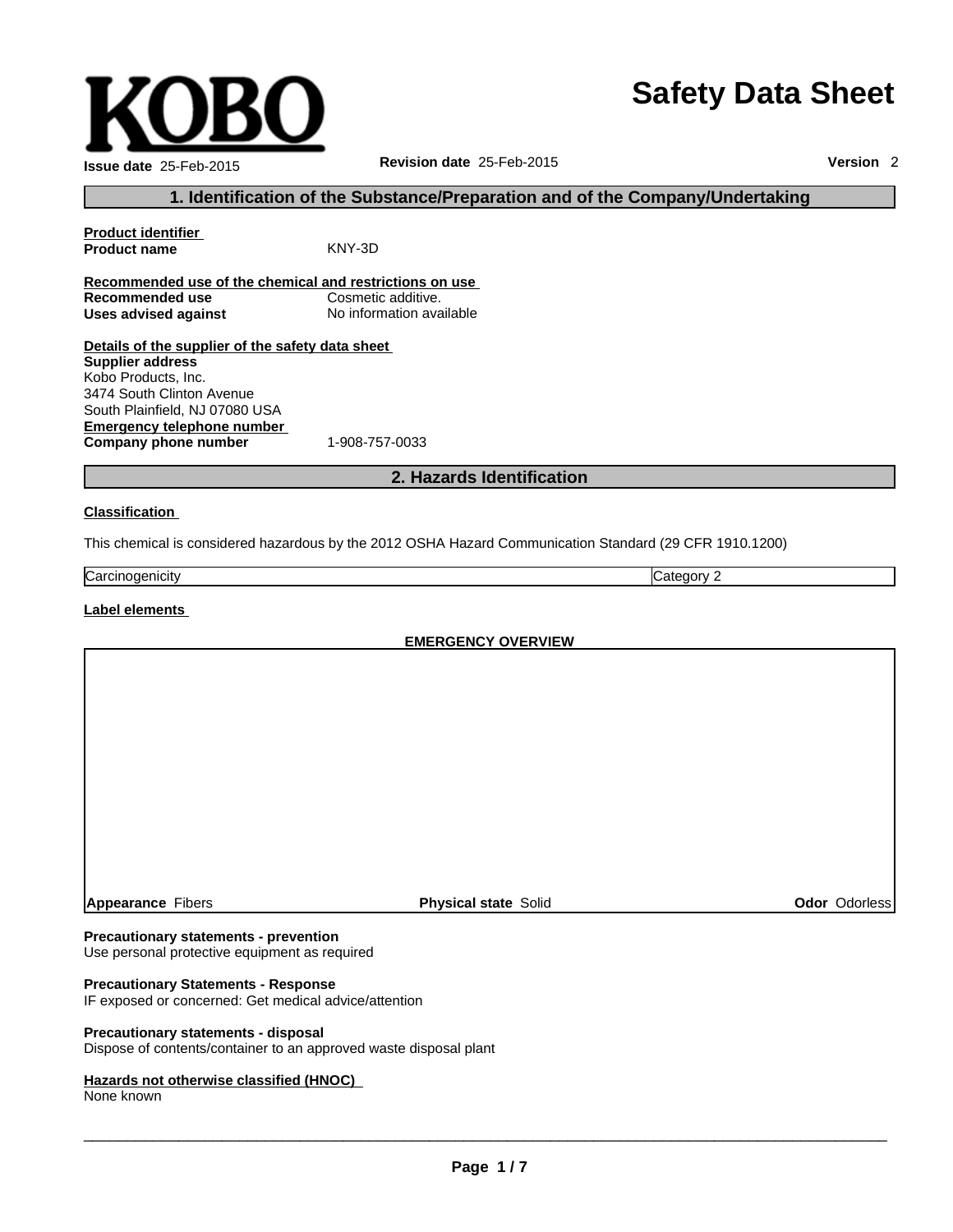# **Safety Data Sheet**

| <b>Issue date 25-Feb-2015</b> |
|-------------------------------|

**Revision date** 25-Feb-2015

**Version** 2

# **1. Identification of the Substance/Preparation and of the Company/Undertaking**

| <b>Product identifier</b>                               |                          |
|---------------------------------------------------------|--------------------------|
| <b>Product name</b>                                     | KNY-3D                   |
| Recommended use of the chemical and restrictions on use |                          |
| Recommended use                                         | Cosmetic additive.       |
| Uses advised against                                    | No information available |
| Details of the supplier of the safety data sheet        |                          |
| Supplier address                                        |                          |
| Kobo Products, Inc.                                     |                          |
| 3474 South Clinton Avenue                               |                          |
|                                                         |                          |

**Emergency telephone number Company phone number** 1-908-757-0033 South Plainfield, NJ 07080 USA

# **2. Hazards Identification**

#### **Classification**

This chemical is considered hazardous by the 2012 OSHA Hazard Communication Standard (29 CFR 1910.1200)

| Carcir<br>ienicitv<br>. | --<br>-<br>-<br> |
|-------------------------|------------------|

## **Label elements**

**EMERGENCY OVERVIEW**

**Appearance** Fibers **Physical state** Solid **Odor** Odorless

#### **Precautionary statements - prevention**

Use personal protective equipment as required

#### **Precautionary Statements - Response**

IF exposed or concerned: Get medical advice/attention

#### **Precautionary statements - disposal**

Dispose of contents/container to an approved waste disposal plant

#### **Hazards not otherwise classified (HNOC)**

None known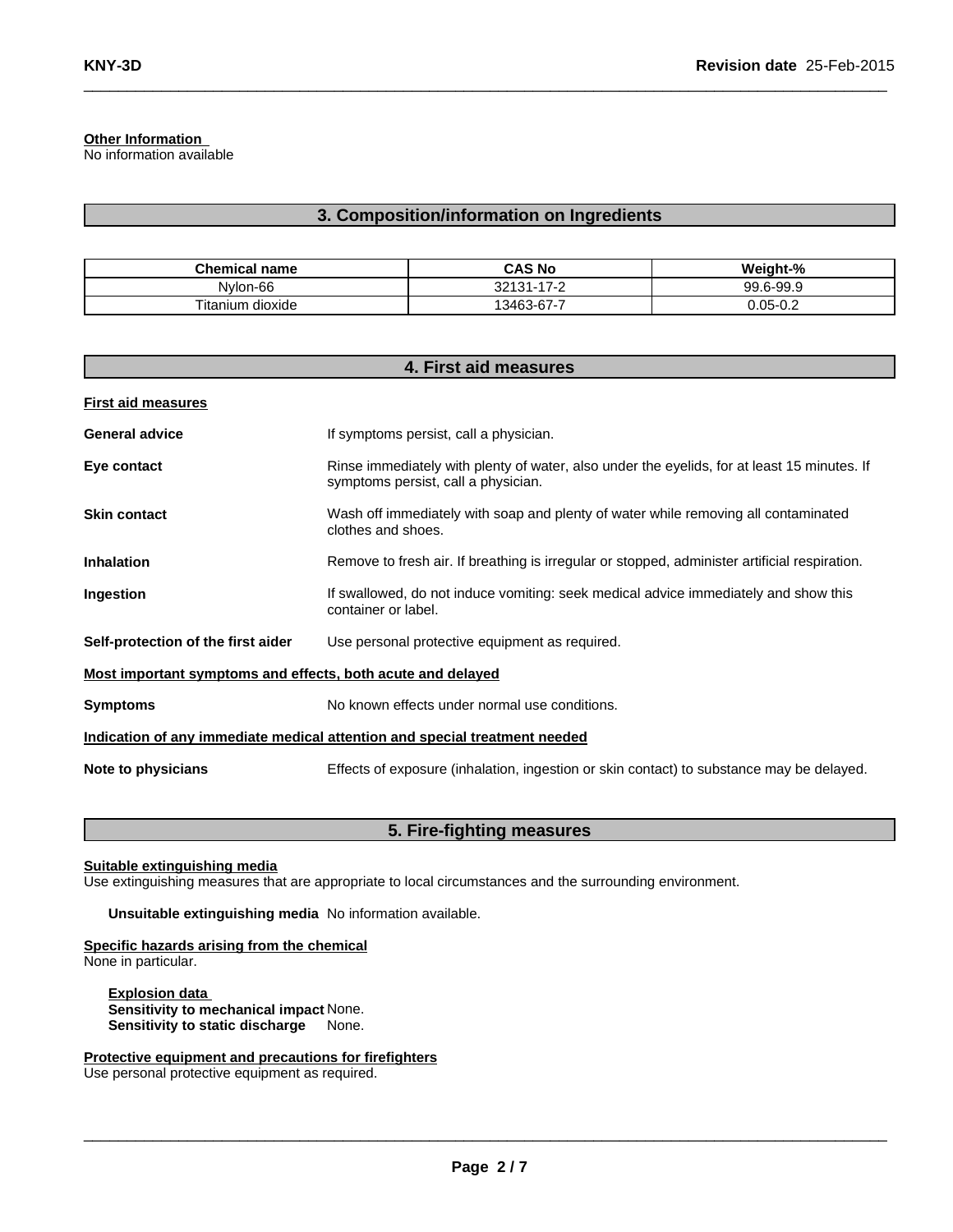**Other Information**

No information available

# **3. Composition/information on Ingredients**

 $\_$  , and the set of the set of the set of the set of the set of the set of the set of the set of the set of the set of the set of the set of the set of the set of the set of the set of the set of the set of the set of th

| Chemical.<br>name  | <b>CAS No</b>     | Weight-%  |
|--------------------|-------------------|-----------|
| Nylon-66           | 17-2<br>$32131 -$ | 99.6-99.9 |
| dioxide<br>itanium | 13463-67-7        | 0.05-0.2  |

| 4. First aid measures                                                      |                                                                                                                                    |  |
|----------------------------------------------------------------------------|------------------------------------------------------------------------------------------------------------------------------------|--|
| <b>First aid measures</b>                                                  |                                                                                                                                    |  |
| <b>General advice</b>                                                      | If symptoms persist, call a physician.                                                                                             |  |
| Eye contact                                                                | Rinse immediately with plenty of water, also under the eyelids, for at least 15 minutes. If<br>symptoms persist, call a physician. |  |
| <b>Skin contact</b>                                                        | Wash off immediately with soap and plenty of water while removing all contaminated<br>clothes and shoes.                           |  |
| <b>Inhalation</b>                                                          | Remove to fresh air. If breathing is irregular or stopped, administer artificial respiration.                                      |  |
| Ingestion                                                                  | If swallowed, do not induce vomiting: seek medical advice immediately and show this<br>container or label.                         |  |
| Self-protection of the first aider                                         | Use personal protective equipment as required.                                                                                     |  |
| Most important symptoms and effects, both acute and delayed                |                                                                                                                                    |  |
| <b>Symptoms</b>                                                            | No known effects under normal use conditions.                                                                                      |  |
| Indication of any immediate medical attention and special treatment needed |                                                                                                                                    |  |
| Note to physicians                                                         | Effects of exposure (inhalation, ingestion or skin contact) to substance may be delayed.                                           |  |

# **5. Fire-fighting measures**

**Suitable extinguishing media**

Use extinguishing measures that are appropriate to local circumstances and the surrounding environment.

**Unsuitable extinguishing media** No information available.

**Specific hazards arising from the chemical** None in particular.

**Explosion data Sensitivity to mechanical impact** None. **Sensitivity to static discharge** None.

**Protective equipment and precautions for firefighters** Use personal protective equipment as required.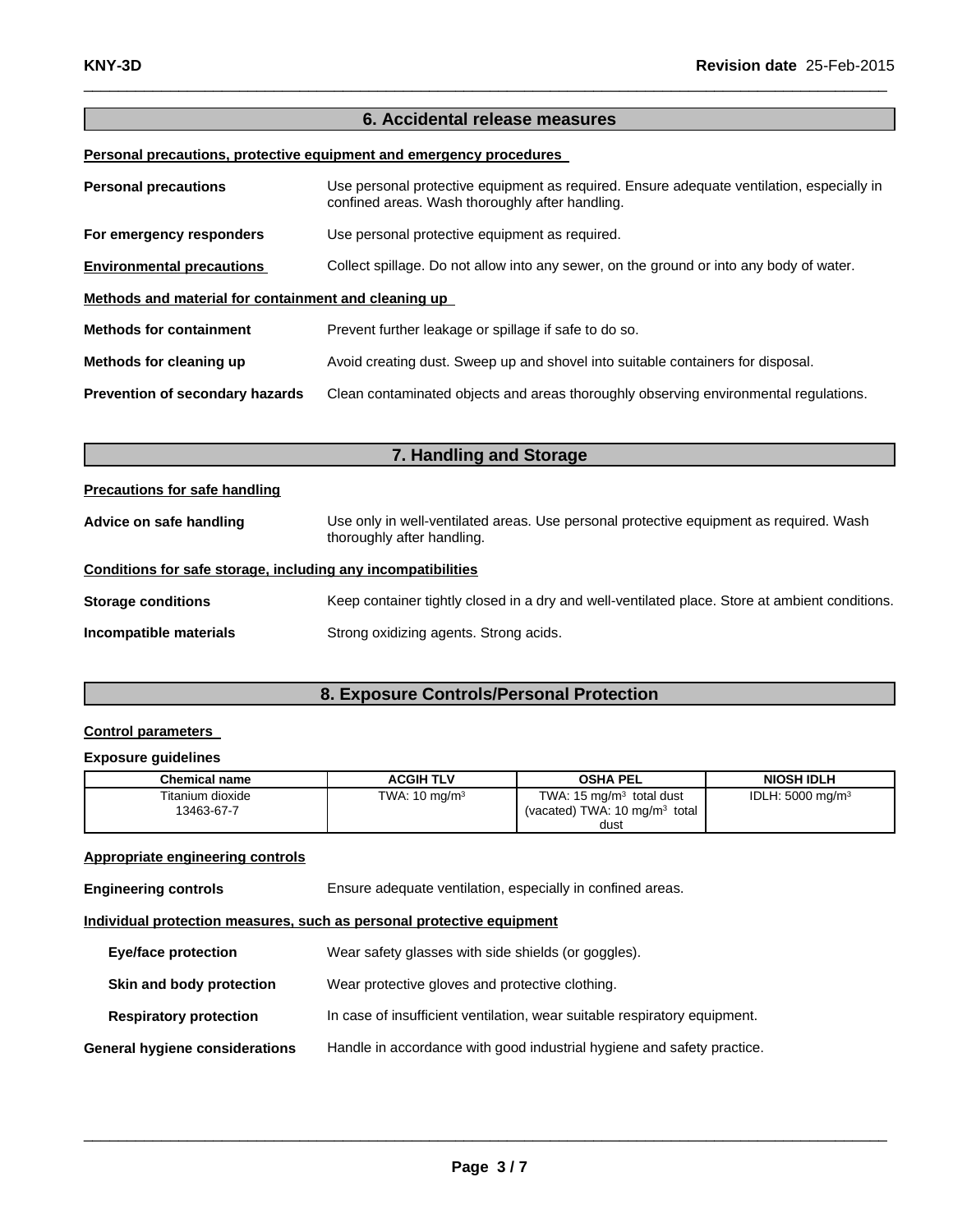# **6. Accidental release measures**

 $\_$  , and the set of the set of the set of the set of the set of the set of the set of the set of the set of the set of the set of the set of the set of the set of the set of the set of the set of the set of the set of th

**Personal precautions, protective equipment and emergency procedures**

| <b>Personal precautions</b>                          | Use personal protective equipment as required. Ensure adequate ventilation, especially in<br>confined areas. Wash thoroughly after handling. |  |  |
|------------------------------------------------------|----------------------------------------------------------------------------------------------------------------------------------------------|--|--|
| For emergency responders                             | Use personal protective equipment as required.                                                                                               |  |  |
| <b>Environmental precautions</b>                     | Collect spillage. Do not allow into any sewer, on the ground or into any body of water.                                                      |  |  |
| Methods and material for containment and cleaning up |                                                                                                                                              |  |  |
| <b>Methods for containment</b>                       | Prevent further leakage or spillage if safe to do so.                                                                                        |  |  |
| Methods for cleaning up                              | Avoid creating dust. Sweep up and shovel into suitable containers for disposal.                                                              |  |  |
| Prevention of secondary hazards                      | Clean contaminated objects and areas thoroughly observing environmental regulations.                                                         |  |  |

| 7. Handling and Storage                                      |                                                                                                                      |  |  |
|--------------------------------------------------------------|----------------------------------------------------------------------------------------------------------------------|--|--|
| Precautions for safe handling                                |                                                                                                                      |  |  |
| Advice on safe handling                                      | Use only in well-ventilated areas. Use personal protective equipment as required. Wash<br>thoroughly after handling. |  |  |
| Conditions for safe storage, including any incompatibilities |                                                                                                                      |  |  |
| <b>Storage conditions</b>                                    | Keep container tightly closed in a dry and well-ventilated place. Store at ambient conditions.                       |  |  |
| Incompatible materials                                       | Strong oxidizing agents. Strong acids.                                                                               |  |  |

# **8. Exposure Controls/Personal Protection**

# **Control parameters**

#### **Exposure guidelines**

| Chemical name                  | <b>ACGIH TLV</b>         | <b>OSHA PEL</b>                                                                         | <b>NIOSH IDLH</b>           |
|--------------------------------|--------------------------|-----------------------------------------------------------------------------------------|-----------------------------|
| Titanium dioxide<br>13463-67-7 | TWA: $10 \text{ mg/m}^3$ | TWA: $15 \text{ mg/m}^3$ total dust<br>(vacated) TWA: $10 \text{ mg/m}^3$ total<br>dust | IDLH: $5000 \text{ mg/m}^3$ |

## **Appropriate engineering controls**

**Engineering controls** Ensure adequate ventilation, especially in confined areas.

**Individual protection measures, such as personal protective equipment**

| <b>Eye/face protection</b>     | Wear safety glasses with side shields (or goggles).                       |
|--------------------------------|---------------------------------------------------------------------------|
| Skin and body protection       | Wear protective gloves and protective clothing.                           |
| <b>Respiratory protection</b>  | In case of insufficient ventilation, wear suitable respiratory equipment. |
| General hygiene considerations | Handle in accordance with good industrial hygiene and safety practice.    |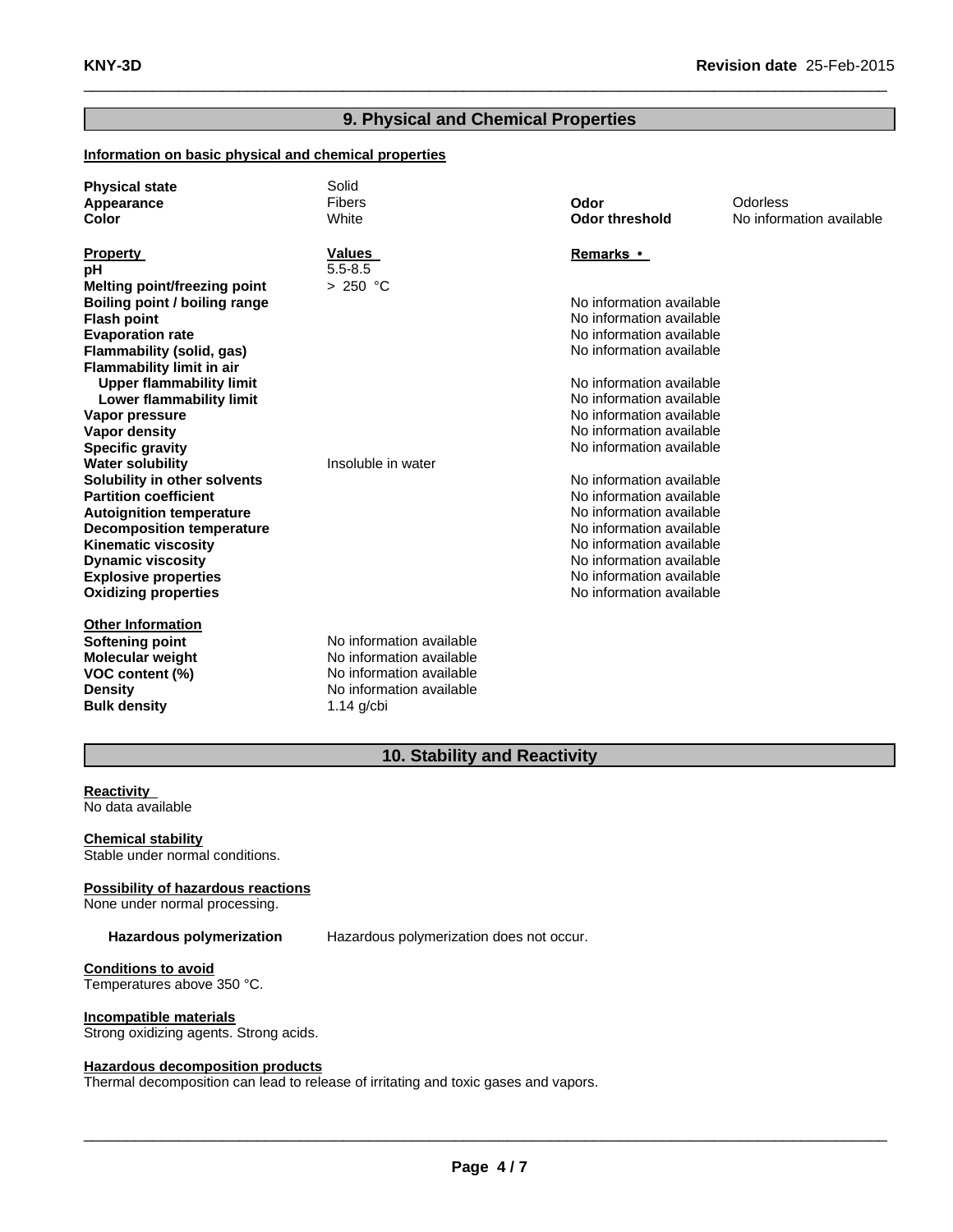# **9. Physical and Chemical Properties**

 $\_$  , and the set of the set of the set of the set of the set of the set of the set of the set of the set of the set of the set of the set of the set of the set of the set of the set of the set of the set of the set of th

## **Information on basic physical and chemical properties**

| <b>Physical state</b><br>Appearance<br>Color | Solid<br>Fibers<br>White | Odor<br><b>Odor threshold</b> | Odorless<br>No information available |
|----------------------------------------------|--------------------------|-------------------------------|--------------------------------------|
| <b>Property</b>                              | <b>Values</b>            | <b>Remarks</b> •              |                                      |
| pH                                           | $5.5 - 8.5$              |                               |                                      |
| Melting point/freezing point                 | > 250 °C                 |                               |                                      |
| Boiling point / boiling range                |                          | No information available      |                                      |
| <b>Flash point</b>                           |                          | No information available      |                                      |
| <b>Evaporation rate</b>                      |                          | No information available      |                                      |
| Flammability (solid, gas)                    |                          | No information available      |                                      |
| Flammability limit in air                    |                          |                               |                                      |
| <b>Upper flammability limit</b>              |                          | No information available      |                                      |
| Lower flammability limit                     |                          | No information available      |                                      |
| Vapor pressure                               |                          | No information available      |                                      |
| <b>Vapor density</b>                         |                          | No information available      |                                      |
| <b>Specific gravity</b>                      |                          | No information available      |                                      |
| <b>Water solubility</b>                      | Insoluble in water       |                               |                                      |
| Solubility in other solvents                 |                          | No information available      |                                      |
| <b>Partition coefficient</b>                 |                          | No information available      |                                      |
| <b>Autoignition temperature</b>              |                          | No information available      |                                      |
| <b>Decomposition temperature</b>             |                          | No information available      |                                      |
| <b>Kinematic viscosity</b>                   |                          | No information available      |                                      |
| <b>Dynamic viscosity</b>                     |                          | No information available      |                                      |
| <b>Explosive properties</b>                  |                          | No information available      |                                      |
| <b>Oxidizing properties</b>                  |                          | No information available      |                                      |
| <b>Other Information</b>                     |                          |                               |                                      |
| Softening point                              | No information available |                               |                                      |
| <b>Molecular weight</b>                      | No information available |                               |                                      |
| VOC content (%)                              | No information available |                               |                                      |
| <b>Density</b>                               | No information available |                               |                                      |
| <b>Bulk density</b>                          | $1.14$ g/cbi             |                               |                                      |

# **10. Stability and Reactivity**

**Reactivity** No data available

**Chemical stability** Stable under normal conditions.

## **Possibility of hazardous reactions**

None under normal processing.

**Hazardous polymerization** Hazardous polymerization does not occur.

**Conditions to avoid** Temperatures above 350 °C.

**Incompatible materials** Strong oxidizing agents. Strong acids.

## **Hazardous decomposition products**

Thermal decomposition can lead to release of irritating and toxic gases and vapors.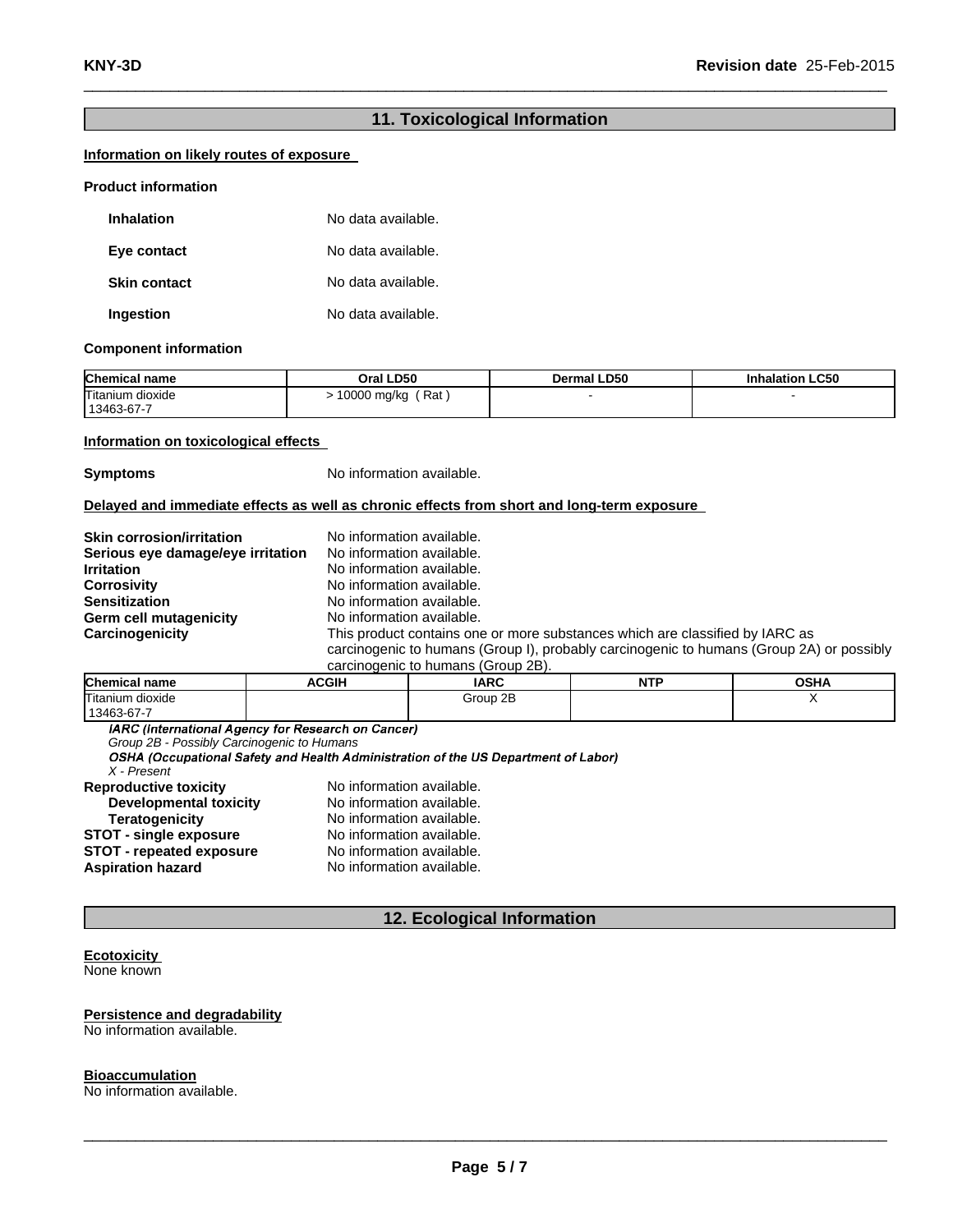# **11. Toxicological Information**

 $\_$  , and the set of the set of the set of the set of the set of the set of the set of the set of the set of the set of the set of the set of the set of the set of the set of the set of the set of the set of the set of th

## **Information on likely routes of exposure**

#### **Product information**

| <b>Inhalation</b>   | No data available. |
|---------------------|--------------------|
| Eye contact         | No data available. |
| <b>Skin contact</b> | No data available. |
| Ingestion           | No data available. |

#### **Component information**

| <b>Chemical name</b>           | Oral LD50          | <b>Dermal LD50</b> | <b>Inhalation LC50</b> |
|--------------------------------|--------------------|--------------------|------------------------|
| Titanium dioxide<br>13463-67-7 | Rat<br>10000 mg/kg |                    |                        |

#### **Information on toxicological effects**

**Symptoms** No information available.

#### **Delayed and immediate effects as well as chronic effects from short and long-term exposure**

| <b>Skin corrosion/irritation</b>  | No information available.                                                                |
|-----------------------------------|------------------------------------------------------------------------------------------|
| Serious eye damage/eye irritation | No information available.                                                                |
| <b>Irritation</b>                 | No information available.                                                                |
| <b>Corrosivity</b>                | No information available.                                                                |
| <b>Sensitization</b>              | No information available.                                                                |
| Germ cell mutagenicity            | No information available.                                                                |
| Carcinogenicity                   | This product contains one or more substances which are classified by IARC as             |
|                                   | carcinogenic to humans (Group I), probably carcinogenic to humans (Group 2A) or possibly |
|                                   | carcinogenic to humane (Croup 2R)                                                        |

| Calcinodenic to humans (Group ZD). |       |             |            |      |
|------------------------------------|-------|-------------|------------|------|
| <b>Chemical name</b>               | ACGIH | <b>IARC</b> | <b>NTP</b> | OSHA |
| Titanium dioxide                   |       | Group 2B    |            |      |
| 13463-67-7                         |       |             |            |      |

*Group 2B - Possibly Carcinogenic to Humans*

| X - Present           |  |  |
|-----------------------|--|--|
| Janraductiva tavicity |  |  |

| <b>Reproductive toxicity</b>    | No information available. |
|---------------------------------|---------------------------|
| <b>Developmental toxicity</b>   | No information available. |
| <b>Teratogenicity</b>           | No information available. |
| <b>STOT - single exposure</b>   | No information available. |
| <b>STOT - repeated exposure</b> | No information available. |
| <b>Aspiration hazard</b>        | No information available. |
|                                 |                           |

# **12. Ecological Information**

# **Ecotoxicity**

None known

#### **Persistence and degradability**

No information available.

#### **Bioaccumulation**

No information available.

 $\_$  ,  $\_$  ,  $\_$  ,  $\_$  ,  $\_$  ,  $\_$  ,  $\_$  ,  $\_$  ,  $\_$  ,  $\_$  ,  $\_$  ,  $\_$  ,  $\_$  ,  $\_$  ,  $\_$  ,  $\_$  ,  $\_$  ,  $\_$  ,  $\_$  ,  $\_$  ,  $\_$  ,  $\_$  ,  $\_$  ,  $\_$  ,  $\_$  ,  $\_$  ,  $\_$  ,  $\_$  ,  $\_$  ,  $\_$  ,  $\_$  ,  $\_$  ,  $\_$  ,  $\_$  ,  $\_$  ,  $\_$  ,  $\_$  ,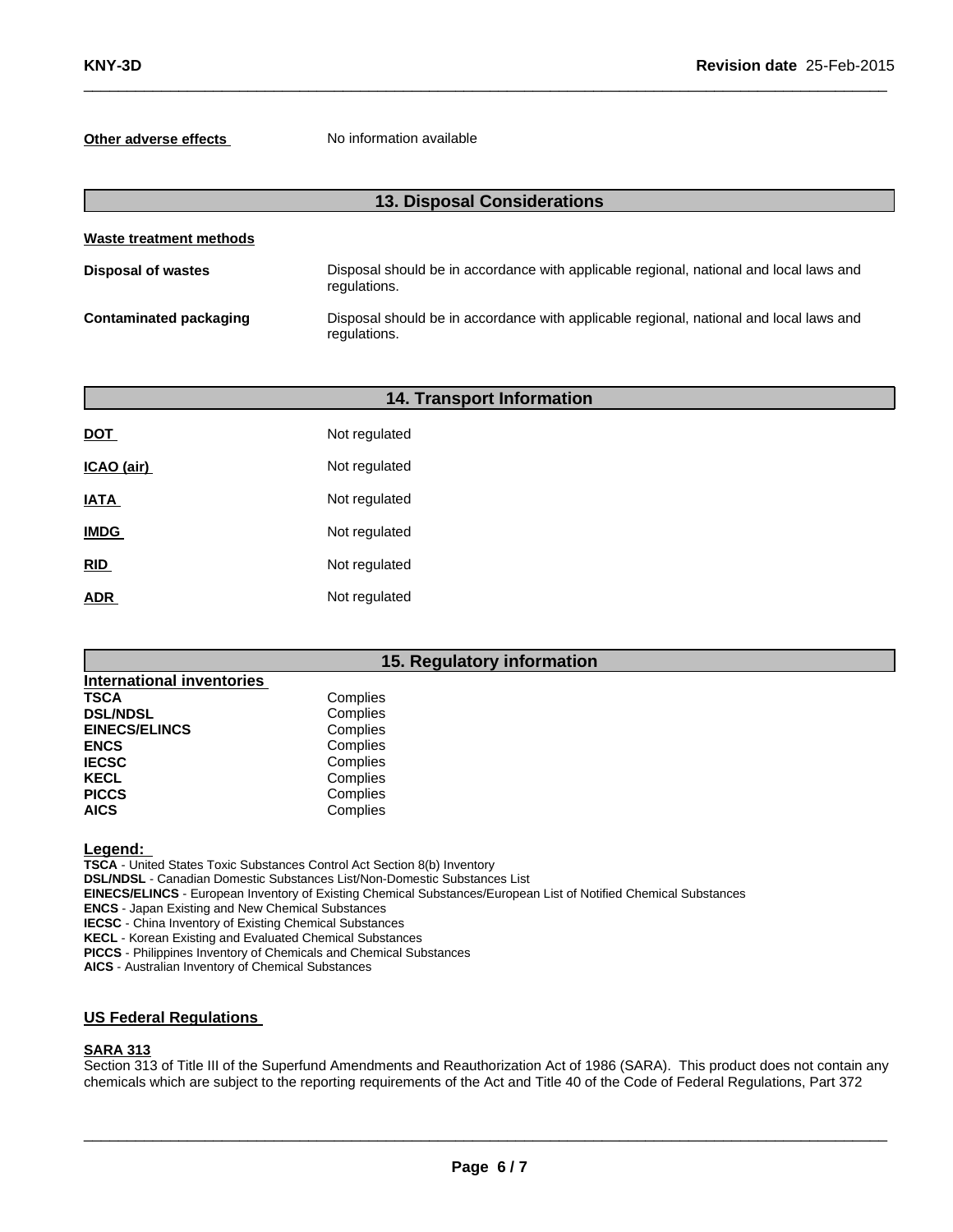**Other adverse effects** No information available

| <b>13. Disposal Considerations</b> |                                                                                                        |  |  |
|------------------------------------|--------------------------------------------------------------------------------------------------------|--|--|
| Waste treatment methods            |                                                                                                        |  |  |
| Disposal of wastes                 | Disposal should be in accordance with applicable regional, national and local laws and<br>regulations. |  |  |
| Contaminated packaging             | Disposal should be in accordance with applicable regional, national and local laws and<br>regulations. |  |  |

 $\_$  , and the set of the set of the set of the set of the set of the set of the set of the set of the set of the set of the set of the set of the set of the set of the set of the set of the set of the set of the set of th

|             | <b>14. Transport Information</b> |
|-------------|----------------------------------|
| <b>DOT</b>  | Not regulated                    |
| ICAO (air)  | Not regulated                    |
| <b>IATA</b> | Not regulated                    |
| <b>IMDG</b> | Not regulated                    |
| <b>RID</b>  | Not regulated                    |
| <b>ADR</b>  | Not regulated                    |

# **15. Regulatory information**

| <b>International inventories</b> |          |
|----------------------------------|----------|
| <b>TSCA</b>                      | Complies |
| <b>DSL/NDSL</b>                  | Complies |
| <b>EINECS/ELINCS</b>             | Complies |
| <b>ENCS</b>                      | Complies |
| <b>IECSC</b>                     | Complies |
| <b>KECL</b>                      | Complies |
| <b>PICCS</b>                     | Complies |
| <b>AICS</b>                      | Complies |

**Legend:**

**TSCA** - United States Toxic Substances Control Act Section 8(b) Inventory

**DSL/NDSL** - Canadian Domestic Substances List/Non-Domestic Substances List

**EINECS/ELINCS** - European Inventory of Existing Chemical Substances/European List of Notified Chemical Substances

**ENCS** - Japan Existing and New Chemical Substances

**IECSC** - China Inventory of Existing Chemical Substances

**KECL** - Korean Existing and Evaluated Chemical Substances

**PICCS** - Philippines Inventory of Chemicals and Chemical Substances

**AICS** - Australian Inventory of Chemical Substances

# **US Federal Regulations**

#### **SARA 313**

Section 313 of Title III of the Superfund Amendments and Reauthorization Act of 1986 (SARA). This product does not contain any chemicals which are subject to the reporting requirements of the Act and Title 40 of the Code of Federal Regulations, Part 372

 $\_$  ,  $\_$  ,  $\_$  ,  $\_$  ,  $\_$  ,  $\_$  ,  $\_$  ,  $\_$  ,  $\_$  ,  $\_$  ,  $\_$  ,  $\_$  ,  $\_$  ,  $\_$  ,  $\_$  ,  $\_$  ,  $\_$  ,  $\_$  ,  $\_$  ,  $\_$  ,  $\_$  ,  $\_$  ,  $\_$  ,  $\_$  ,  $\_$  ,  $\_$  ,  $\_$  ,  $\_$  ,  $\_$  ,  $\_$  ,  $\_$  ,  $\_$  ,  $\_$  ,  $\_$  ,  $\_$  ,  $\_$  ,  $\_$  ,